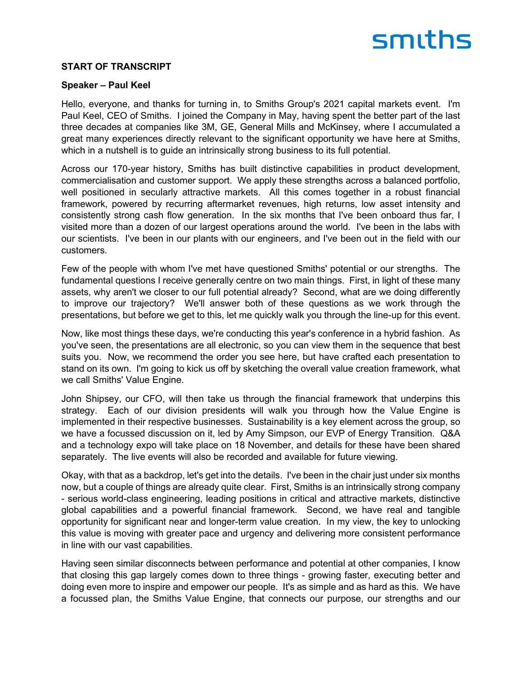#### **START OF TRANSCRIPT**

#### **Speaker – Paul Keel**

Hello, everyone, and thanks for turning in, to Smiths Group's 2021 capital markets event. I'm Paul Keel, CEO of Smiths. I joined the Company in May, having spent the better part of the last three decades at companies like 3M, GE, General Mills and McKinsey, where I accumulated a great many experiences directly relevant to the significant opportunity we have here at Smiths, which in a nutshell is to guide an intrinsically strong business to its full potential.

Across our 170-year history, Smiths has built distinctive capabilities in product development, commercialisation and customer support. We apply these strengths across a balanced portfolio, well positioned in secularly attractive markets. All this comes together in a robust financial framework, powered by recurring aftermarket revenues, high returns, low asset intensity and consistently strong cash flow generation. In the six months that I've been onboard thus far, I visited more than a dozen of our largest operations around the world. I've been in the labs with our scientists. I've been in our plants with our engineers, and I've been out in the field with our customers.

Few of the people with whom I've met have questioned Smiths' potential or our strengths. The fundamental questions I receive generally centre on two main things. First, in light of these many assets, why aren't we closer to our full potential already? Second, what are we doing differently to improve our trajectory? We'll answer both of these questions as we work through the presentations, but before we get to this, let me quickly walk you through the line-up for this event.

Now, like most things these days, we're conducting this year's conference in a hybrid fashion. As you've seen, the presentations are all electronic, so you can view them in the sequence that best suits you. Now, we recommend the order you see here, but have crafted each presentation to stand on its own. I'm going to kick us off by sketching the overall value creation framework, what we call Smiths' Value Engine.

John Shipsey, our CFO, will then take us through the financial framework that underpins this strategy. Each of our division presidents will walk you through how the Value Engine is implemented in their respective businesses. Sustainability is a key element across the group, so we have a focussed discussion on it, led by Amy Simpson, our EVP of Energy Transition. Q&A and a technology expo will take place on 18 November, and details for these have been shared separately. The live events will also be recorded and available for future viewing.

Okay, with that as a backdrop, let's get into the details. I've been in the chair just under six months now, but a couple of things are already quite clear. First, Smiths is an intrinsically strong company - serious world-class engineering, leading positions in critical and attractive markets, distinctive global capabilities and a powerful financial framework. Second, we have real and tangible opportunity for significant near and longer-term value creation. In my view, the key to unlocking this value is moving with greater pace and urgency and delivering more consistent performance in line with our vast capabilities.

Having seen similar disconnects between performance and potential at other companies, I know that closing this gap largely comes down to three things - growing faster, executing better and doing even more to inspire and empower our people. It's as simple and as hard as this. We have a focussed plan, the Smiths Value Engine, that connects our purpose, our strengths and our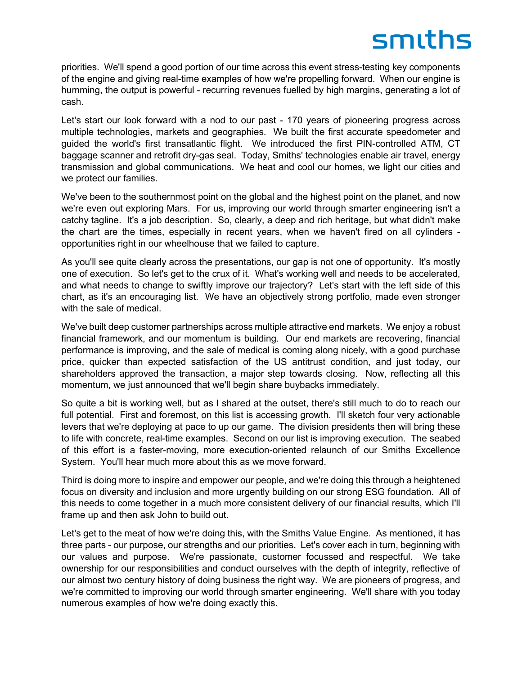priorities. We'll spend a good portion of our time across this event stress-testing key components of the engine and giving real-time examples of how we're propelling forward. When our engine is humming, the output is powerful - recurring revenues fuelled by high margins, generating a lot of cash.

Let's start our look forward with a nod to our past - 170 years of pioneering progress across multiple technologies, markets and geographies. We built the first accurate speedometer and guided the world's first transatlantic flight. We introduced the first PIN-controlled ATM, CT baggage scanner and retrofit dry-gas seal. Today, Smiths' technologies enable air travel, energy transmission and global communications. We heat and cool our homes, we light our cities and we protect our families.

We've been to the southernmost point on the global and the highest point on the planet, and now we're even out exploring Mars. For us, improving our world through smarter engineering isn't a catchy tagline. It's a job description. So, clearly, a deep and rich heritage, but what didn't make the chart are the times, especially in recent years, when we haven't fired on all cylinders opportunities right in our wheelhouse that we failed to capture.

As you'll see quite clearly across the presentations, our gap is not one of opportunity. It's mostly one of execution. So let's get to the crux of it. What's working well and needs to be accelerated, and what needs to change to swiftly improve our trajectory? Let's start with the left side of this chart, as it's an encouraging list. We have an objectively strong portfolio, made even stronger with the sale of medical.

We've built deep customer partnerships across multiple attractive end markets. We enjoy a robust financial framework, and our momentum is building. Our end markets are recovering, financial performance is improving, and the sale of medical is coming along nicely, with a good purchase price, quicker than expected satisfaction of the US antitrust condition, and just today, our shareholders approved the transaction, a major step towards closing. Now, reflecting all this momentum, we just announced that we'll begin share buybacks immediately.

So quite a bit is working well, but as I shared at the outset, there's still much to do to reach our full potential. First and foremost, on this list is accessing growth. I'll sketch four very actionable levers that we're deploying at pace to up our game. The division presidents then will bring these to life with concrete, real-time examples. Second on our list is improving execution. The seabed of this effort is a faster-moving, more execution-oriented relaunch of our Smiths Excellence System. You'll hear much more about this as we move forward.

Third is doing more to inspire and empower our people, and we're doing this through a heightened focus on diversity and inclusion and more urgently building on our strong ESG foundation. All of this needs to come together in a much more consistent delivery of our financial results, which I'll frame up and then ask John to build out.

Let's get to the meat of how we're doing this, with the Smiths Value Engine. As mentioned, it has three parts - our purpose, our strengths and our priorities. Let's cover each in turn, beginning with our values and purpose. We're passionate, customer focussed and respectful. We take ownership for our responsibilities and conduct ourselves with the depth of integrity, reflective of our almost two century history of doing business the right way. We are pioneers of progress, and we're committed to improving our world through smarter engineering. We'll share with you today numerous examples of how we're doing exactly this.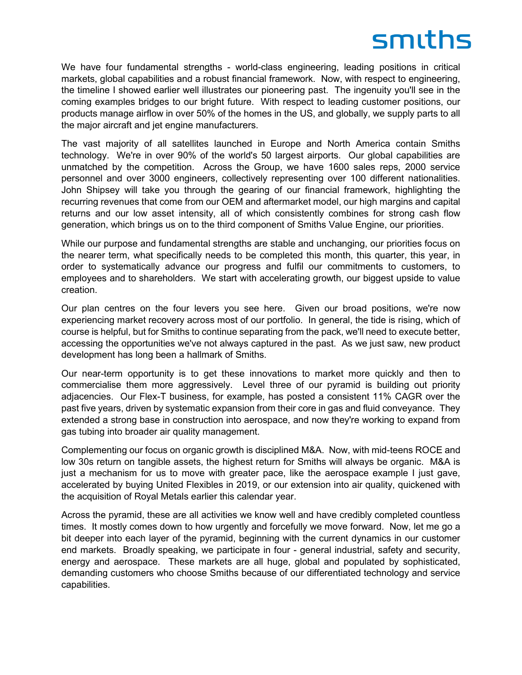We have four fundamental strengths - world-class engineering, leading positions in critical markets, global capabilities and a robust financial framework. Now, with respect to engineering, the timeline I showed earlier well illustrates our pioneering past. The ingenuity you'll see in the coming examples bridges to our bright future. With respect to leading customer positions, our products manage airflow in over 50% of the homes in the US, and globally, we supply parts to all the major aircraft and jet engine manufacturers.

The vast majority of all satellites launched in Europe and North America contain Smiths technology. We're in over 90% of the world's 50 largest airports. Our global capabilities are unmatched by the competition. Across the Group, we have 1600 sales reps, 2000 service personnel and over 3000 engineers, collectively representing over 100 different nationalities. John Shipsey will take you through the gearing of our financial framework, highlighting the recurring revenues that come from our OEM and aftermarket model, our high margins and capital returns and our low asset intensity, all of which consistently combines for strong cash flow generation, which brings us on to the third component of Smiths Value Engine, our priorities.

While our purpose and fundamental strengths are stable and unchanging, our priorities focus on the nearer term, what specifically needs to be completed this month, this quarter, this year, in order to systematically advance our progress and fulfil our commitments to customers, to employees and to shareholders. We start with accelerating growth, our biggest upside to value creation.

Our plan centres on the four levers you see here. Given our broad positions, we're now experiencing market recovery across most of our portfolio. In general, the tide is rising, which of course is helpful, but for Smiths to continue separating from the pack, we'll need to execute better, accessing the opportunities we've not always captured in the past. As we just saw, new product development has long been a hallmark of Smiths.

Our near-term opportunity is to get these innovations to market more quickly and then to commercialise them more aggressively. Level three of our pyramid is building out priority adjacencies. Our Flex-T business, for example, has posted a consistent 11% CAGR over the past five years, driven by systematic expansion from their core in gas and fluid conveyance. They extended a strong base in construction into aerospace, and now they're working to expand from gas tubing into broader air quality management.

Complementing our focus on organic growth is disciplined M&A. Now, with mid-teens ROCE and low 30s return on tangible assets, the highest return for Smiths will always be organic. M&A is just a mechanism for us to move with greater pace, like the aerospace example I just gave, accelerated by buying United Flexibles in 2019, or our extension into air quality, quickened with the acquisition of Royal Metals earlier this calendar year.

Across the pyramid, these are all activities we know well and have credibly completed countless times. It mostly comes down to how urgently and forcefully we move forward. Now, let me go a bit deeper into each layer of the pyramid, beginning with the current dynamics in our customer end markets. Broadly speaking, we participate in four - general industrial, safety and security, energy and aerospace. These markets are all huge, global and populated by sophisticated, demanding customers who choose Smiths because of our differentiated technology and service capabilities.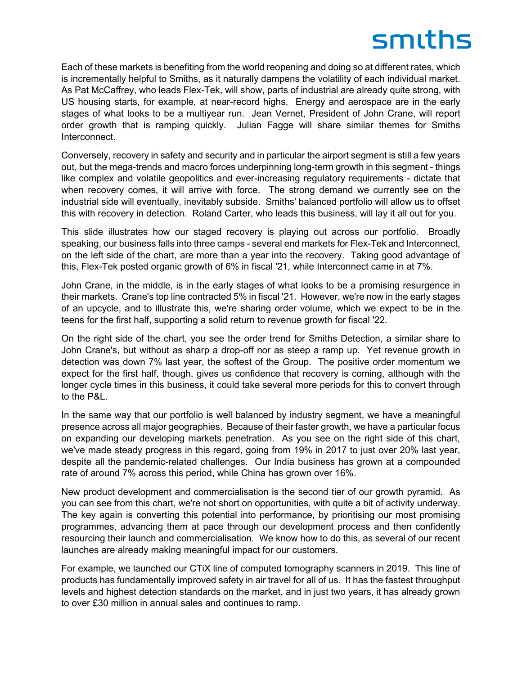Each of these markets is benefiting from the world reopening and doing so at different rates, which is incrementally helpful to Smiths, as it naturally dampens the volatility of each individual market. As Pat McCaffrey, who leads Flex-Tek, will show, parts of industrial are already quite strong, with US housing starts, for example, at near-record highs. Energy and aerospace are in the early stages of what looks to be a multiyear run. Jean Vernet, President of John Crane, will report order growth that is ramping quickly. Julian Fagge will share similar themes for Smiths Interconnect.

Conversely, recovery in safety and security and in particular the airport segment is still a few years out, but the mega-trends and macro forces underpinning long-term growth in this segment - things like complex and volatile geopolitics and ever-increasing regulatory requirements - dictate that when recovery comes, it will arrive with force. The strong demand we currently see on the industrial side will eventually, inevitably subside. Smiths' balanced portfolio will allow us to offset this with recovery in detection. Roland Carter, who leads this business, will lay it all out for you.

This slide illustrates how our staged recovery is playing out across our portfolio. Broadly speaking, our business falls into three camps - several end markets for Flex-Tek and Interconnect, on the left side of the chart, are more than a year into the recovery. Taking good advantage of this, Flex-Tek posted organic growth of 6% in fiscal '21, while Interconnect came in at 7%.

John Crane, in the middle, is in the early stages of what looks to be a promising resurgence in their markets. Crane's top line contracted 5% in fiscal '21. However, we're now in the early stages of an upcycle, and to illustrate this, we're sharing order volume, which we expect to be in the teens for the first half, supporting a solid return to revenue growth for fiscal '22.

On the right side of the chart, you see the order trend for Smiths Detection, a similar share to John Crane's, but without as sharp a drop-off nor as steep a ramp up. Yet revenue growth in detection was down 7% last year, the softest of the Group. The positive order momentum we expect for the first half, though, gives us confidence that recovery is coming, although with the longer cycle times in this business, it could take several more periods for this to convert through to the P&L.

In the same way that our portfolio is well balanced by industry segment, we have a meaningful presence across all major geographies. Because of their faster growth, we have a particular focus on expanding our developing markets penetration. As you see on the right side of this chart, we've made steady progress in this regard, going from 19% in 2017 to just over 20% last year, despite all the pandemic-related challenges. Our India business has grown at a compounded rate of around 7% across this period, while China has grown over 16%.

New product development and commercialisation is the second tier of our growth pyramid. As you can see from this chart, we're not short on opportunities, with quite a bit of activity underway. The key again is converting this potential into performance, by prioritising our most promising programmes, advancing them at pace through our development process and then confidently resourcing their launch and commercialisation. We know how to do this, as several of our recent launches are already making meaningful impact for our customers.

For example, we launched our CTiX line of computed tomography scanners in 2019. This line of products has fundamentally improved safety in air travel for all of us. It has the fastest throughput levels and highest detection standards on the market, and in just two years, it has already grown to over £30 million in annual sales and continues to ramp.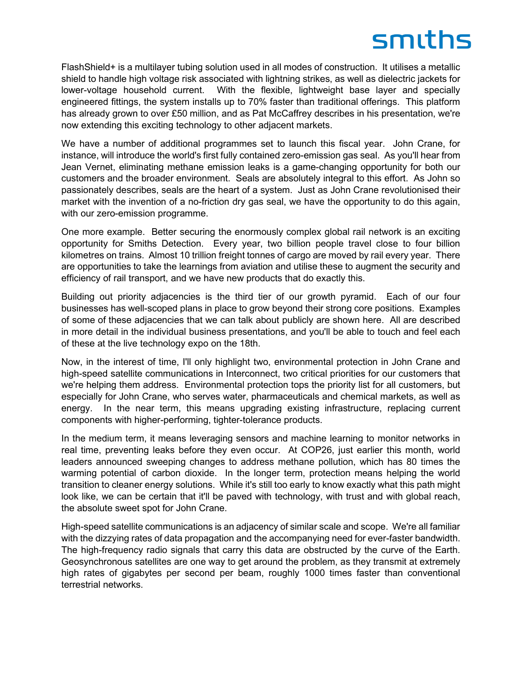FlashShield+ is a multilayer tubing solution used in all modes of construction. It utilises a metallic shield to handle high voltage risk associated with lightning strikes, as well as dielectric jackets for lower-voltage household current. With the flexible, lightweight base layer and specially engineered fittings, the system installs up to 70% faster than traditional offerings. This platform has already grown to over £50 million, and as Pat McCaffrey describes in his presentation, we're now extending this exciting technology to other adjacent markets.

We have a number of additional programmes set to launch this fiscal year. John Crane, for instance, will introduce the world's first fully contained zero-emission gas seal. As you'll hear from Jean Vernet, eliminating methane emission leaks is a game-changing opportunity for both our customers and the broader environment. Seals are absolutely integral to this effort. As John so passionately describes, seals are the heart of a system. Just as John Crane revolutionised their market with the invention of a no-friction dry gas seal, we have the opportunity to do this again, with our zero-emission programme.

One more example. Better securing the enormously complex global rail network is an exciting opportunity for Smiths Detection. Every year, two billion people travel close to four billion kilometres on trains. Almost 10 trillion freight tonnes of cargo are moved by rail every year. There are opportunities to take the learnings from aviation and utilise these to augment the security and efficiency of rail transport, and we have new products that do exactly this.

Building out priority adjacencies is the third tier of our growth pyramid. Each of our four businesses has well-scoped plans in place to grow beyond their strong core positions. Examples of some of these adjacencies that we can talk about publicly are shown here. All are described in more detail in the individual business presentations, and you'll be able to touch and feel each of these at the live technology expo on the 18th.

Now, in the interest of time, I'll only highlight two, environmental protection in John Crane and high-speed satellite communications in Interconnect, two critical priorities for our customers that we're helping them address. Environmental protection tops the priority list for all customers, but especially for John Crane, who serves water, pharmaceuticals and chemical markets, as well as energy. In the near term, this means upgrading existing infrastructure, replacing current components with higher-performing, tighter-tolerance products.

In the medium term, it means leveraging sensors and machine learning to monitor networks in real time, preventing leaks before they even occur. At COP26, just earlier this month, world leaders announced sweeping changes to address methane pollution, which has 80 times the warming potential of carbon dioxide. In the longer term, protection means helping the world transition to cleaner energy solutions. While it's still too early to know exactly what this path might look like, we can be certain that it'll be paved with technology, with trust and with global reach, the absolute sweet spot for John Crane.

High-speed satellite communications is an adjacency of similar scale and scope. We're all familiar with the dizzying rates of data propagation and the accompanying need for ever-faster bandwidth. The high-frequency radio signals that carry this data are obstructed by the curve of the Earth. Geosynchronous satellites are one way to get around the problem, as they transmit at extremely high rates of gigabytes per second per beam, roughly 1000 times faster than conventional terrestrial networks.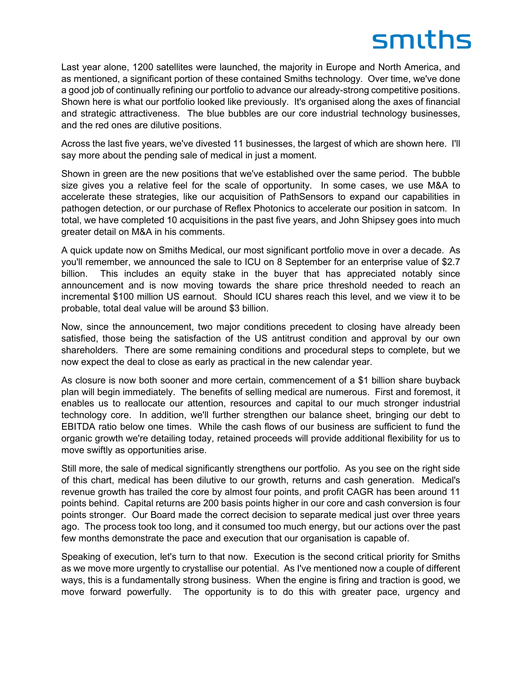Last year alone, 1200 satellites were launched, the majority in Europe and North America, and as mentioned, a significant portion of these contained Smiths technology. Over time, we've done a good job of continually refining our portfolio to advance our already-strong competitive positions. Shown here is what our portfolio looked like previously. It's organised along the axes of financial and strategic attractiveness. The blue bubbles are our core industrial technology businesses, and the red ones are dilutive positions.

Across the last five years, we've divested 11 businesses, the largest of which are shown here. I'll say more about the pending sale of medical in just a moment.

Shown in green are the new positions that we've established over the same period. The bubble size gives you a relative feel for the scale of opportunity. In some cases, we use M&A to accelerate these strategies, like our acquisition of PathSensors to expand our capabilities in pathogen detection, or our purchase of Reflex Photonics to accelerate our position in satcom. In total, we have completed 10 acquisitions in the past five years, and John Shipsey goes into much greater detail on M&A in his comments.

A quick update now on Smiths Medical, our most significant portfolio move in over a decade. As you'll remember, we announced the sale to ICU on 8 September for an enterprise value of \$2.7 billion. This includes an equity stake in the buyer that has appreciated notably since announcement and is now moving towards the share price threshold needed to reach an incremental \$100 million US earnout. Should ICU shares reach this level, and we view it to be probable, total deal value will be around \$3 billion.

Now, since the announcement, two major conditions precedent to closing have already been satisfied, those being the satisfaction of the US antitrust condition and approval by our own shareholders. There are some remaining conditions and procedural steps to complete, but we now expect the deal to close as early as practical in the new calendar year.

As closure is now both sooner and more certain, commencement of a \$1 billion share buyback plan will begin immediately. The benefits of selling medical are numerous. First and foremost, it enables us to reallocate our attention, resources and capital to our much stronger industrial technology core. In addition, we'll further strengthen our balance sheet, bringing our debt to EBITDA ratio below one times. While the cash flows of our business are sufficient to fund the organic growth we're detailing today, retained proceeds will provide additional flexibility for us to move swiftly as opportunities arise.

Still more, the sale of medical significantly strengthens our portfolio. As you see on the right side of this chart, medical has been dilutive to our growth, returns and cash generation. Medical's revenue growth has trailed the core by almost four points, and profit CAGR has been around 11 points behind. Capital returns are 200 basis points higher in our core and cash conversion is four points stronger. Our Board made the correct decision to separate medical just over three years ago. The process took too long, and it consumed too much energy, but our actions over the past few months demonstrate the pace and execution that our organisation is capable of.

Speaking of execution, let's turn to that now. Execution is the second critical priority for Smiths as we move more urgently to crystallise our potential. As I've mentioned now a couple of different ways, this is a fundamentally strong business. When the engine is firing and traction is good, we move forward powerfully. The opportunity is to do this with greater pace, urgency and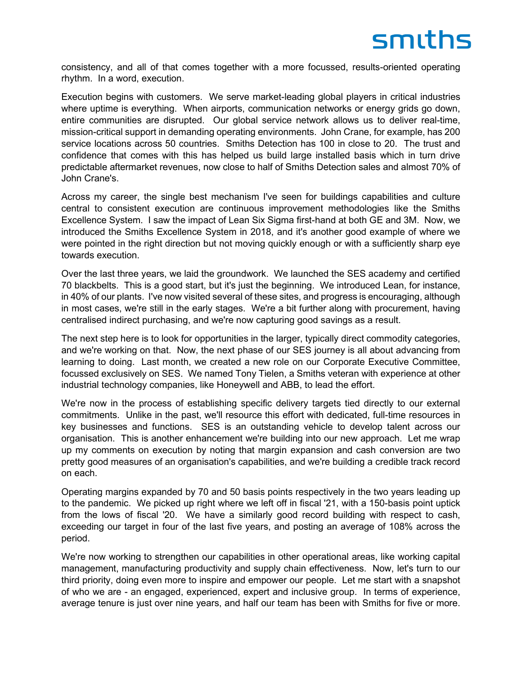consistency, and all of that comes together with a more focussed, results-oriented operating rhythm. In a word, execution.

Execution begins with customers. We serve market-leading global players in critical industries where uptime is everything. When airports, communication networks or energy grids go down, entire communities are disrupted. Our global service network allows us to deliver real-time, mission-critical support in demanding operating environments. John Crane, for example, has 200 service locations across 50 countries. Smiths Detection has 100 in close to 20. The trust and confidence that comes with this has helped us build large installed basis which in turn drive predictable aftermarket revenues, now close to half of Smiths Detection sales and almost 70% of John Crane's.

Across my career, the single best mechanism I've seen for buildings capabilities and culture central to consistent execution are continuous improvement methodologies like the Smiths Excellence System. I saw the impact of Lean Six Sigma first-hand at both GE and 3M. Now, we introduced the Smiths Excellence System in 2018, and it's another good example of where we were pointed in the right direction but not moving quickly enough or with a sufficiently sharp eye towards execution.

Over the last three years, we laid the groundwork. We launched the SES academy and certified 70 blackbelts. This is a good start, but it's just the beginning. We introduced Lean, for instance, in 40% of our plants. I've now visited several of these sites, and progress is encouraging, although in most cases, we're still in the early stages. We're a bit further along with procurement, having centralised indirect purchasing, and we're now capturing good savings as a result.

The next step here is to look for opportunities in the larger, typically direct commodity categories, and we're working on that. Now, the next phase of our SES journey is all about advancing from learning to doing. Last month, we created a new role on our Corporate Executive Committee, focussed exclusively on SES. We named Tony Tielen, a Smiths veteran with experience at other industrial technology companies, like Honeywell and ABB, to lead the effort.

We're now in the process of establishing specific delivery targets tied directly to our external commitments. Unlike in the past, we'll resource this effort with dedicated, full-time resources in key businesses and functions. SES is an outstanding vehicle to develop talent across our organisation. This is another enhancement we're building into our new approach. Let me wrap up my comments on execution by noting that margin expansion and cash conversion are two pretty good measures of an organisation's capabilities, and we're building a credible track record on each.

Operating margins expanded by 70 and 50 basis points respectively in the two years leading up to the pandemic. We picked up right where we left off in fiscal '21, with a 150-basis point uptick from the lows of fiscal '20. We have a similarly good record building with respect to cash, exceeding our target in four of the last five years, and posting an average of 108% across the period.

We're now working to strengthen our capabilities in other operational areas, like working capital management, manufacturing productivity and supply chain effectiveness. Now, let's turn to our third priority, doing even more to inspire and empower our people. Let me start with a snapshot of who we are - an engaged, experienced, expert and inclusive group. In terms of experience, average tenure is just over nine years, and half our team has been with Smiths for five or more.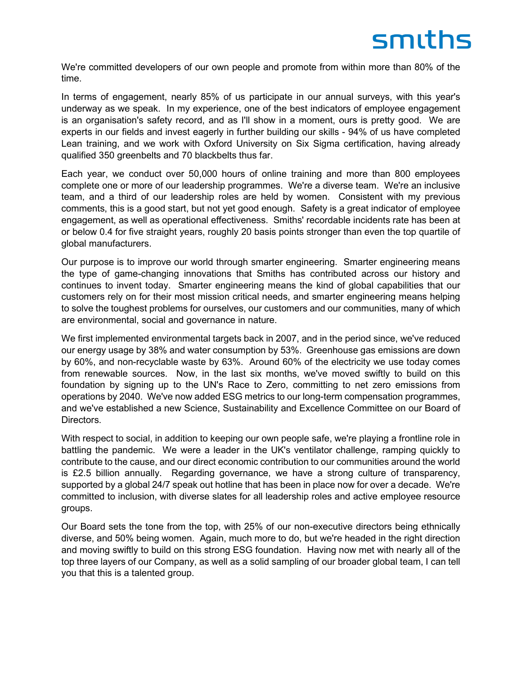We're committed developers of our own people and promote from within more than 80% of the time.

In terms of engagement, nearly 85% of us participate in our annual surveys, with this year's underway as we speak. In my experience, one of the best indicators of employee engagement is an organisation's safety record, and as I'll show in a moment, ours is pretty good. We are experts in our fields and invest eagerly in further building our skills - 94% of us have completed Lean training, and we work with Oxford University on Six Sigma certification, having already qualified 350 greenbelts and 70 blackbelts thus far.

Each year, we conduct over 50,000 hours of online training and more than 800 employees complete one or more of our leadership programmes. We're a diverse team. We're an inclusive team, and a third of our leadership roles are held by women. Consistent with my previous comments, this is a good start, but not yet good enough. Safety is a great indicator of employee engagement, as well as operational effectiveness. Smiths' recordable incidents rate has been at or below 0.4 for five straight years, roughly 20 basis points stronger than even the top quartile of global manufacturers.

Our purpose is to improve our world through smarter engineering. Smarter engineering means the type of game-changing innovations that Smiths has contributed across our history and continues to invent today. Smarter engineering means the kind of global capabilities that our customers rely on for their most mission critical needs, and smarter engineering means helping to solve the toughest problems for ourselves, our customers and our communities, many of which are environmental, social and governance in nature.

We first implemented environmental targets back in 2007, and in the period since, we've reduced our energy usage by 38% and water consumption by 53%. Greenhouse gas emissions are down by 60%, and non-recyclable waste by 63%. Around 60% of the electricity we use today comes from renewable sources. Now, in the last six months, we've moved swiftly to build on this foundation by signing up to the UN's Race to Zero, committing to net zero emissions from operations by 2040. We've now added ESG metrics to our long-term compensation programmes, and we've established a new Science, Sustainability and Excellence Committee on our Board of Directors.

With respect to social, in addition to keeping our own people safe, we're playing a frontline role in battling the pandemic. We were a leader in the UK's ventilator challenge, ramping quickly to contribute to the cause, and our direct economic contribution to our communities around the world is £2.5 billion annually. Regarding governance, we have a strong culture of transparency, supported by a global 24/7 speak out hotline that has been in place now for over a decade. We're committed to inclusion, with diverse slates for all leadership roles and active employee resource groups.

Our Board sets the tone from the top, with 25% of our non-executive directors being ethnically diverse, and 50% being women. Again, much more to do, but we're headed in the right direction and moving swiftly to build on this strong ESG foundation. Having now met with nearly all of the top three layers of our Company, as well as a solid sampling of our broader global team, I can tell you that this is a talented group.